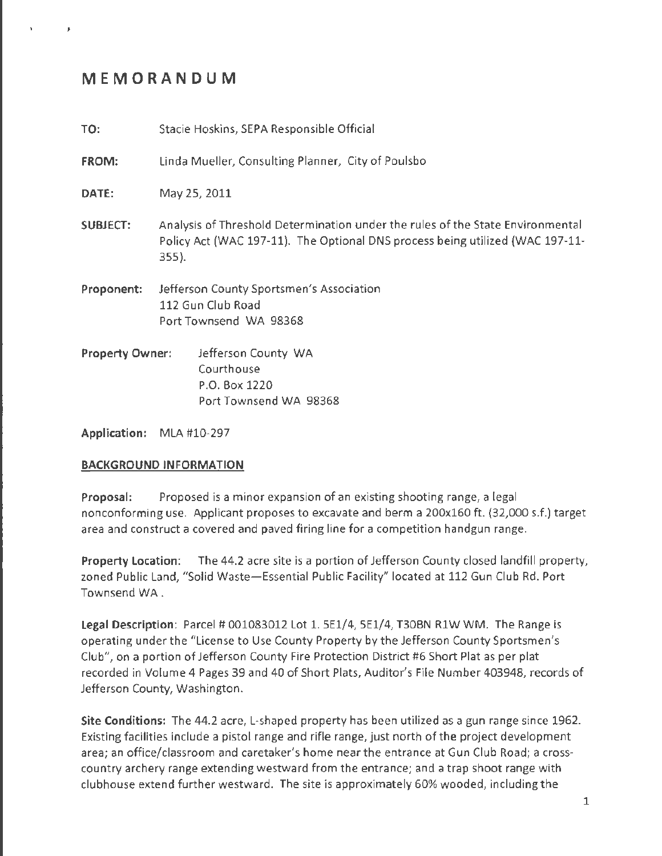# **MEMORANDUM**

**TO:** Stacie Hoskins, SEPA Responsible Official

**FROM:** Linda Mueller, Consulting Planner, City of Poulsbo

**DATE:** May 25, 2011

**SUBJECT:** Analysis of Threshold Determination under the rules of the State Environmental Policy Act (WAC 197-11). The Optional DNS process being utilized (WAC 197-11- 355}.

**Proponent:** Jefferson County Sportsmen's Association 112 Gun Club Road Port Townsend WA 98368

**Property Owner:** Jefferson County WA Courthouse P .0. Box 1220 Port Townsend WA 98368

**Application:** MLA #10-297

#### **BACKGROUND INFORMATION**

**Proposal:** Proposed is a minor expansion of an existing shooting range, a legal nonconforming use. Applicant proposes to excavate and berm a 200x160 ft. (32,000 s.f.} target area and construct a covered and paved firing line for a competition handgun range.

**Property Location:** The 44.2 acre site is a portion of Jefferson County closed landfill property, zoned Public Land, "Solid Waste-Essential Public Facility" located at 112 Gun Club Rd. Port Townsend WA.

Legal Description: Parcel # 001083012 Lot 1.5E1/4, 5E1/4, T30BN R1W WM. The Range is operating under the "License to Use County Property by the Jefferson County Sportsmen's Club", on a portion of Jefferson County Fire Protection District #6 Short Plat as per plat recorded in Volume 4 Pages 39 and 40 of Short Plats, Auditor's File Number 403948, records of Jefferson County, Washington.

**Site Conditions:** The 44.2 acre, L-shaped property has been utilized as a gun range since 1962. Existing facilities include a pistol range and rifle range, just north of the project development area; an office/classroom and caretaker's home near the entrance at Gun Club Road; a crosscountry archery range extending westward from the entrance; and a trap shoot range with clubhouse extend further westward. The site is approximately 60% wooded, including the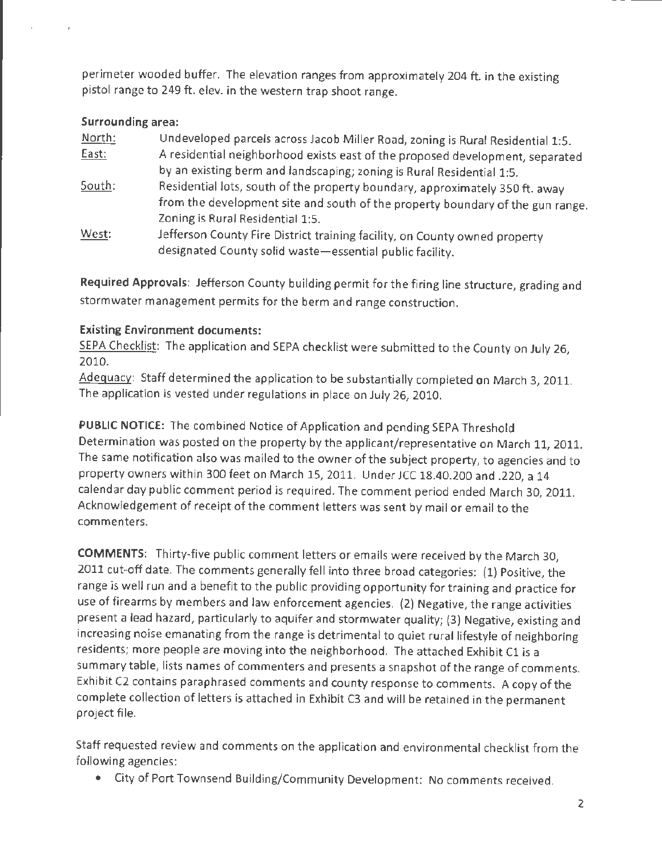perimeter wooded buffer. The elevation ranges from approximately 204 ft. in the existing pistol range to 249 ft. elev. in the western trap shoot range.

### **Surrounding area:**

| North: | Undeveloped parcels across Jacob Miller Road, zoning is Rural Residential 1:5. |
|--------|--------------------------------------------------------------------------------|
| East:  | A residential neighborhood exists east of the proposed development, separated  |
|        | by an existing berm and landscaping; zoning is Rural Residential 1:5.          |
| South: | Residential lots, south of the property boundary, approximately 350 ft. away   |
|        | from the development site and south of the property boundary of the gun range. |
|        | Zoning is Rural Residential 1:5.                                               |
| West:  | Jefferson County Fire District training facility, on County owned property     |
|        | designated County solid waste-essential public facility.                       |

**Required Approvals:** Jefferson County building permit for the firing line structure, grading and stormwater management permits for the berm and range construction.

### **Existing Environment documents:**

SEPA Checklist: The application and SEPA checklist were submitted to the County on July 26, 2010.

Adequacy: Staff determined the application to be substantially completed on March 3, 2011. The application is vested under regulations in place on July 26, 2010.

**PUBLIC NOTICE:** The combined Notice of Application and pending SEPA Threshold Determination was posted on the property by the applicant/representative on March 11, 2011. The same notification also was mailed to the owner of the subject property, to agencies and to property owners within 300 feet on March 15, 2011. Under JCC 18.40.200 and .220, a 14 calendar day public comment period is required. The comment period ended March 30, 2011. Acknowledgement of receipt of the comment letters was sent by mail or email to the commenters.

**COMMENTS:** Thirty-five public comment letters or emails were received by the March 30, 2011 cut-off date. The comments generally fell into three broad categories: (1) Positive, the range is well run and a benefit to the public providing opportunity for training and practice for use of firearms by members and law enforcement agencies. (2) Negative, the range activities present a lead hazard, particularly to aquifer and stormwater quality; (3) Negative, existing and increasing noise emanating from the range is detrimental to quiet rural lifestyle of neighboring residents; more people are moving into the neighborhood. The attached Exhibit Cl is a summary table, lists names of commenters and presents a snapshot of the range of comments. Exhibit C2 contains paraphrased comments and county response to comments. A copy of the complete collection of letters is attached in Exhibit C3 and will be retained in the permanent project file.

Staff requested review and comments on the application and environmental checklist from the following agencies:

• City of Port Townsend Building/Community Development: No comments received.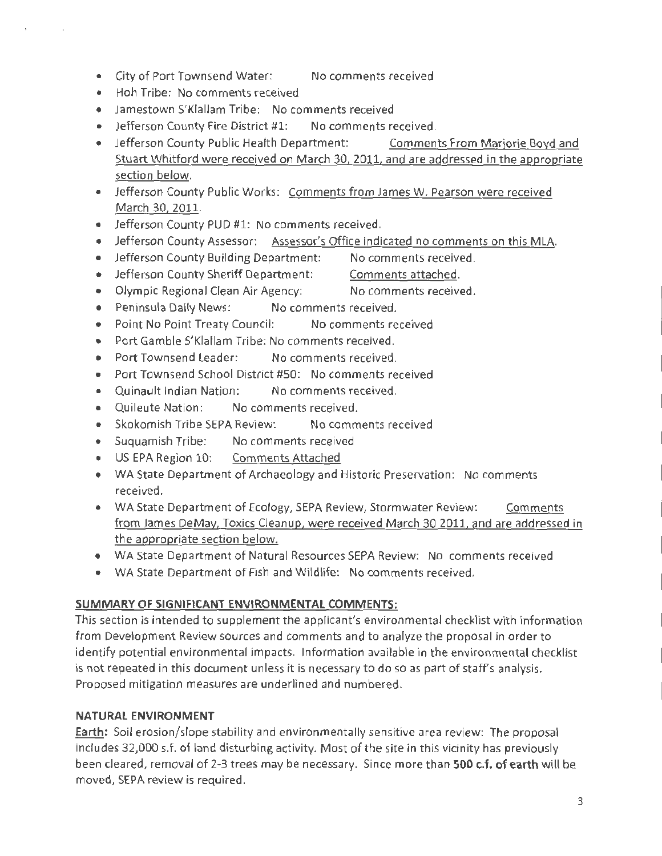- City of Port Townsend Water: No comments received
- Hoh Tribe: No comments received
- Jamestown S'Klallam Tribe: No comments received
- Jefferson County Fire District #1: No comments received.
- Jefferson County Public Health Department: Comments From Marjorie Boyd and Stuart Whitford were received on March 30, 2011, and are addressed in the appropriate section below.
- Jefferson County Public Works: Comments from James W. Pearson were received March 30, 2011.
- Jefferson County PUD #1: No comments received.
- Jefferson County Assessor: Assessor's Office indicated no comments on this MLA.
- Jefferson County Building Department: No comments received.
- Jefferson County Sheriff Department: Comments attached.
- Olympic Regional Clean Air Agency: No comments received.
- Peninsula Daily News: No comments received.
- Point No Point Treaty Council: No comments received
- Port Gamble S'Klallam Tribe: No comments received.
- Port Townsend Leader: No comments received.
- Port Townsend School District #SO: No comments received
- Quinault Indian Nation: No comments received.
- Quileute Nation: No comments received.
- Skokomish Tribe SEPA Review: No comments received
- Suquamish Tribe: No comments received
- US EPA Region 10: Comments Attached
- WA State Department of Archaeology and Historic Preservation: No comments received.
- WA State Department of Ecology, SEPA Review, Stormwater Review: Comments from James DeMay, Toxics Cleanup, were received March 30 2011, and are addressed in the appropriate section below.
- WA State Department of Natural Resources SEPA Review: No comments received
- WA State Department of Fish and Wildlife: No comments received.

# **SUMMARY OF SIGNIFICANT ENVIRONMENTAL COMMENTS:**

This section is intended to supplement the applicant's environmental checklist with information from Development Review sources and comments and to analyze the proposal in order to identify potential environmental impacts. Information available in the environmental checklist is not repeated in this document unless it is necessary to do so as part of staff's analysis. Proposed mitigation measures are underlined and numbered.

# **NATURAL ENVIRONMENT**

**Earth:** Soil erosion/slope stability and environmentally sensitive area review: The proposal includes 32,000 s.f. of land disturbing activity. Most of the site in this vicinity has previously been cleared, removal of 2-3 trees may be necessary. Since more than **500 c.f. of earth** will be moved, SEPA review is required.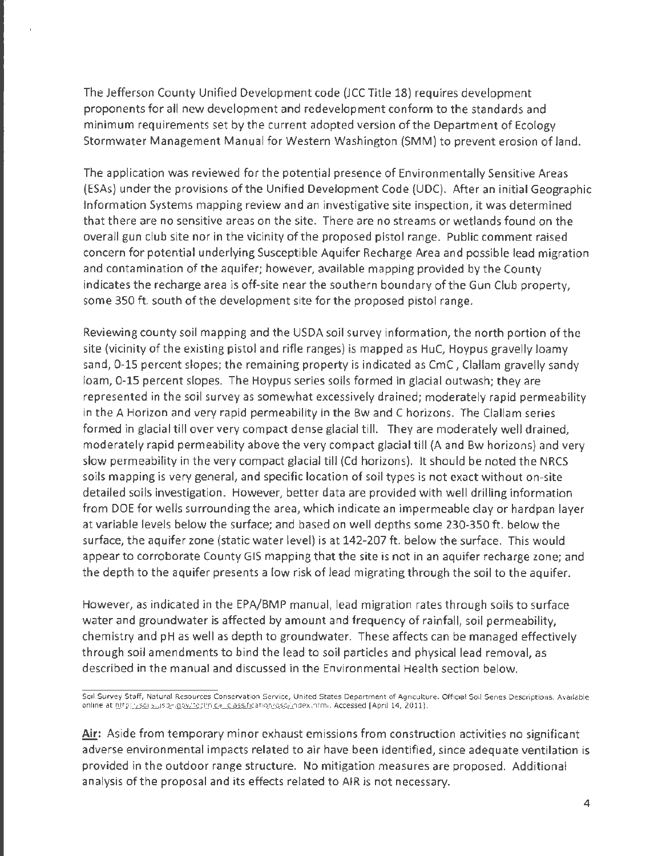The Jefferson County Unified Development code (JCC Title 18) requires development proponents for all new development and redevelopment conform to the standards and minimum requirements set by the current adopted version of the Department of Ecology Stormwater Management Manual for Western Washington (SMM) to prevent erosion of land.

The application was reviewed for the potential presence of Environmentally Sensitive Areas (ESAs) under the provisions of the Unified Development Code (UDC). After an initial Geographic Information Systems mapping review and an investigative site inspection, it was determined that there are no sensitive areas on the site. There are no streams or wetlands found on the overall gun club site nor in the vicinity of the proposed pistol range. Public comment raised concern for potential underlying Susceptible Aquifer Recharge Area and possible lead migration and contamination of the aquifer; however, available mapping provided by the County indicates the recharge area is off-site near the southern boundary of the Gun Club property, some 350 ft. south of the development site for the proposed pistol range.

Reviewing county soil mapping and the USDA soil survey information, the north portion of the site (vicinity of the existing pistol and rifle ranges) is mapped as HuC, Hoypus gravelly loamy sand, 0-15 percent slopes; the remaining property is indicated as CmC , Clallam gravelly sandy loam, 0-15 percent slopes. The Hoypus series soils formed in glacial outwash; they are represented in the soil survey as somewhat excessively drained; moderately rapid permeability in the A Horizon and very rapid permeability in the Bw and C horizons. The Clallam series formed in glacial till over very compact dense glacial till. They are moderately well drained, moderately rapid permeability above the very compact glacial till (A and Bw horizons) and very slow permeability in the very compact glacial till (Cd horizons). It should be noted the NRCS soils mapping is very general, and specific location of soil types is not exact without on-site detailed soils investigation. However, better data are provided with well drilling information from DOE for wells surrounding the area, which indicate an impermeable clay or hardpan layer at variable levels below the surface; and based on well depths some 230-350 ft. below the surface, the aquifer zone (static water level) is at 142-207 ft. below the surface. This would appear to corroborate County GIS mapping that the site is not in an aquifer recharge zone; and the depth to the aquifer presents a low risk of lead migrating through the soil to the aquifer.

However, as indicated in the EPA/BMP manual, lead migration rates through soils to surface water and groundwater is affected by amount and frequency of rainfall, soil permeability, chemistry and pH as well as depth to groundwater. These affects can be managed effectively through soil amendments to bind the lead to soil particles and physical lead removal, as described in the manual and discussed in the Environmental Health section below.

**Air:** Aside from temporary minor exhaust emissions from construction activities no significant adverse environmental impacts related to air have been identified, since adequate ventilation is provided in the outdoor range structure. No mitigation measures are proposed. Additional analysis of the proposal and its effects related to AIR is not necessary.

Soil Survey Staff, Natural Resources Conservation Service, United States Department of Agriculture. Official Soil Series Descriptions. Available online at http://sol.s.usda.gov/technical\_classification/ossu/index.html. Accessed [April 14, 2011].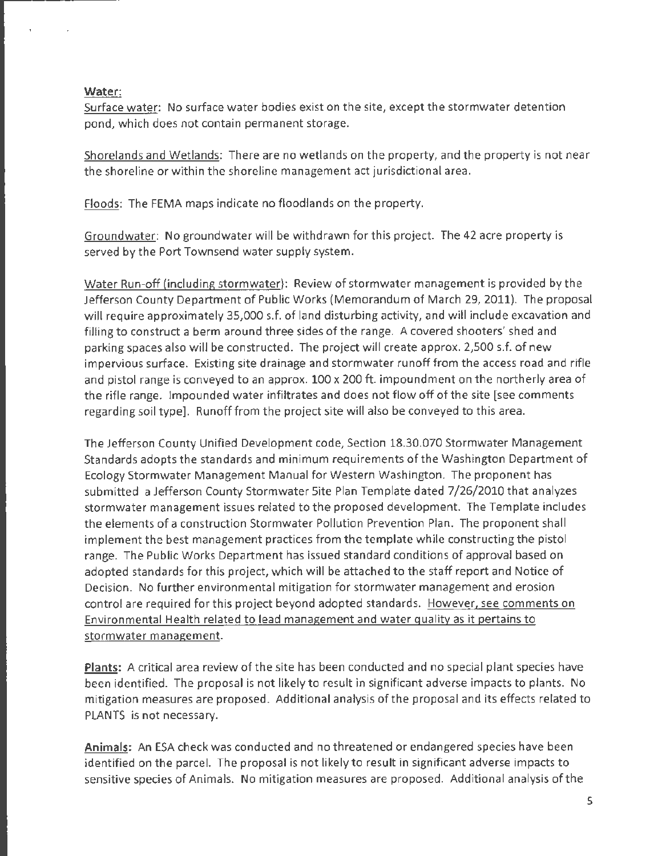#### **Water:**

Surface water: No surface water bodies exist on the site, except the stormwater detention pond, which does not contain permanent storage.

Shorelands and Wetlands: There are no wetlands on the property, and the property is not near the shoreline or within the shoreline management act jurisdictional area.

Floods: The FEMA maps indicate no floodlands on the property.

Groundwater: No groundwater will be withdrawn for this project. The 42 acre property is served by the Port Townsend water supply system.

Water Run-off (including stormwater): Review of stormwater management is provided by the Jefferson County Department of Public Works (Memorandum of March 29, 2011). The proposal will require approximately 35,000 s.f. of land disturbing activity, and will include excavation and filling to construct a berm around three sides of the range. A covered shooters' shed and parking spaces also will be constructed. The project will create approx. 2,500 s.f. of new impervious surface. Existing site drainage and stormwater runoff from the access road and rifle and pistol range is conveyed to an approx. 100 x 200 ft. impoundment on the northerly area of the rifle range. Impounded water infiltrates and does not flow off of the site [see comments regarding soil type]. Runoff from the project site will also be conveyed to this area.

The Jefferson County Unified Development code, Section 18.30.070 Stormwater Management Standards adopts the standards and minimum requirements of the Washington Department of Ecology Stormwater Management Manual for Western Washington. The proponent has submitted a Jefferson County Stormwater Site Plan Template dated 7/26/2010 that analyzes stormwater management issues related to the proposed development. The Template includes the elements of a construction Stormwater Pollution Prevention Plan. The proponent shall implement the best management practices from the template while constructing the pistol range. The Public Works Department has issued standard conditions of approval based on adopted standards for this project, which will be attached to the staff report and Notice of Decision. No further environmental mitigation for stormwater management and erosion control are required for this project beyond adopted standards. However, see comments on Environmental Health related to lead management and water quality as it pertains to stormwater management.

**Plants:** A critical area review of the site has been conducted and no special plant species have been identified. The proposal is not likely to result in significant adverse impacts to plants. No mitigation measures are proposed. Additional analysis of the proposal and its effects related to PLANTS is not necessary.

**Animals:** An ESA check was conducted and no threatened or endangered species have been identified on the parcel. The proposal is not likely to result in significant adverse impacts to sensitive species of Animals. No mitigation measures are proposed. Additional analysis of the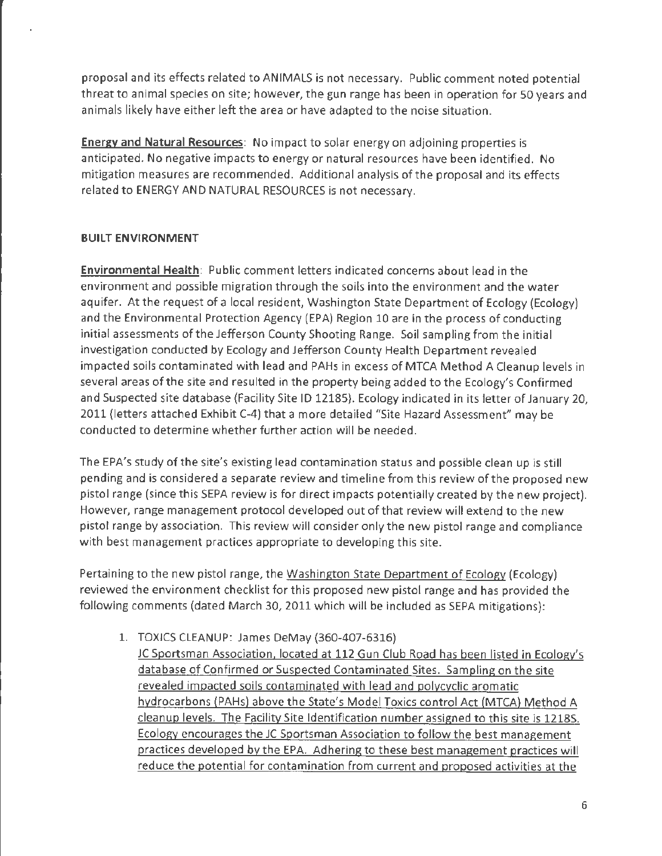proposal and its effects related to ANIMALS is not necessary. Public comment noted potential threat to animal species on site; however, the gun range has been in operation for 50 years and animals likely have either left the area or have adapted to the noise situation.

**Energy and Natural Resources:** No impact to solar energy on adjoining properties is anticipated. No negative impacts to energy or natural resources have been identified. No mitigation measures are recommended. Additional analysis of the proposal and its effects related to ENERGY AND NATURAL RESOURCES is not necessary.

### **BUILT ENVIRONMENT**

**Environmental Health:** Public comment letters indicated concerns about lead in the environment and possible migration through the soils into the environment and the water aquifer. At the request of a local resident, Washington State Department of Ecology (Ecology) and the Environmental Protection Agency (EPA) Region 10 are in the process of conducting initial assessments of the Jefferson County Shooting Range. Soil sampling from the initial investigation conducted by Ecology and Jefferson County Health Department revealed impacted soils contaminated with lead and PAHs in excess of MTCA Method A Cleanup levels in several areas of the site and resulted in the property being added to the Ecology's Confirmed and Suspected site database (Facility Site ID 12185}. Ecology indicated in its letter of January 20, 2011 (letters attached Exhibit C-4) that a more detailed "Site Hazard Assessment" may be conducted to determine whether further action will be needed.

The EPA's study of the site's existing lead contamination status and possible clean up is still pending and is considered a separate review and timeline from this review of the proposed new pistol range (since this SEPA review is for direct impacts potentially created by the new project). However, range management protocol developed out of that review will extend to the new pistol range by association. This review will consider only the new pistol range and compliance with best management practices appropriate to developing this site.

Pertaining to the new pistol range, the Washington State Department of Ecology (Ecology) reviewed the environment checklist for this proposed new pistol range and has provided the following comments (dated March 30, 2011 which will be included as SEPA mitigations):

- 1. TOXICS CLEANUP: James DeMay (360-407-6316}
	- JC Sportsman Association, located at 112 Gun Club Road has been listed in Ecology's database of Confirmed or Suspected Contaminated Sites. Sampling on the site revealed impacted soils contaminated with lead and polycyclic aromatic hydrocarbons (PAHs) above the State's Model Toxics control Act (MTCA) Method A cleanup levels. The Facility Site Identification number assigned to this site is 12185. Ecology encourages the JC Sportsman Association to follow the best management practices developed by the EPA. Adhering to these best management practices will reduce the potential for contamination from current and proposed activities at the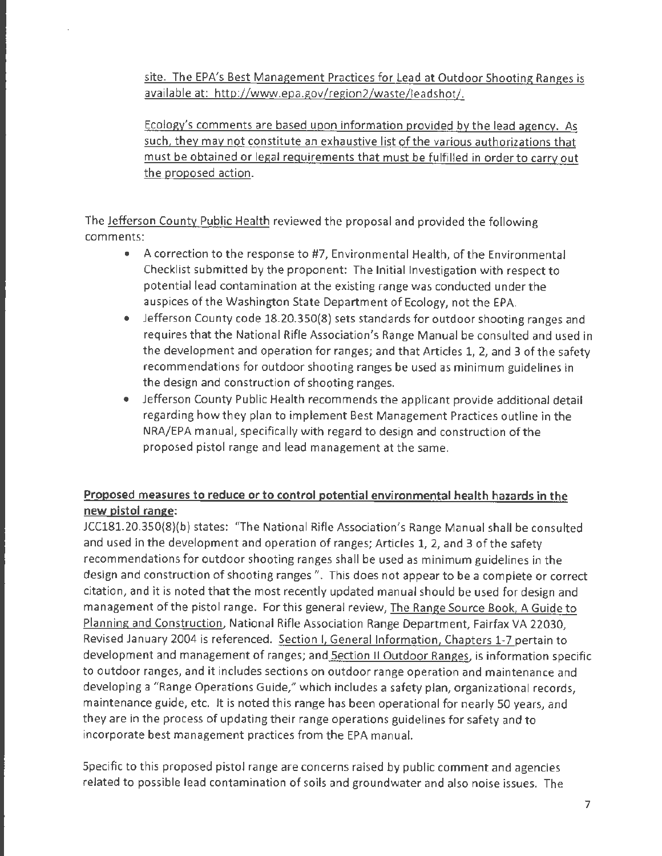site. The EPA's Best Management Practices for Lead at Outdoor Shooting Ranges is available at: http://www.epa.gov/region2/waste/leadshot/.

Ecology's comments are based upon information provided by the lead agency. As such, they may not constitute an exhaustive list of the various authorizations that must be obtained or legal requirements that must be fulfilled in order to carry out the proposed action.

The Jefferson County Public Health reviewed the proposal and provided the following comments:

- A correction to the response to #7, Environmental Health, of the Environmental Checklist submitted by the proponent: The Initial Investigation with respect to potential lead contamination at the existing range was conducted under the auspices of the Washington State Department of Ecology, not the EPA.
- Jefferson County code 18.20.350(8} sets standards for outdoor shooting ranges and requires that the National Rifle Association's Range Manual be consulted and used in the development and operation for ranges; and that Articles 1, 2, and 3 of the safety recommendations for outdoor shooting ranges be used as minimum guidelines in the design and construction of shooting ranges.
- Jefferson County Public Health recommends the applicant provide additional detail regarding how they plan to implement Best Management Practices outline in the NRA/EPA manual, specifically with regard to design and construction of the proposed pistol range and lead management at the same.

# **Proposed measures to reduce or to control potential environmental health hazards in the new pistol range:**

JCC181.20.350(8)(b} states: "The National Rifle Association's Range Manual shall be consulted and used in the development and operation of ranges; Articles l, 2, and 3 of the safety recommendations for outdoor shooting ranges shall be used as minimum guidelines in the design and construction of shooting ranges". This does not appear to be a complete or correct citation, and it is noted that the most recently updated manual should be used for design and management of the pistol range. For this general review, The Range Source Book, A Guide to Planning and Construction, National Rifle Association Range Department, Fairfax VA 22030, Revised January 2004 is referenced. Section I, General Information, Chapters 1-7 pertain to development and management of ranges; and Section II Outdoor Ranges, is information specific to outdoor ranges, and it includes sections on outdoor range operation and maintenance and developing a "Range Operations Guide," which includes a safety plan, organizational records, maintenance guide, etc. It is noted this range has been operational for nearly 50 years, and they are in the process of updating their range operations guidelines for safety and to incorporate best management practices from the EPA manual.

Specific to this proposed pistol range are concerns raised by public comment and agencies related to possible lead contamination of soils and groundwater and also noise issues. The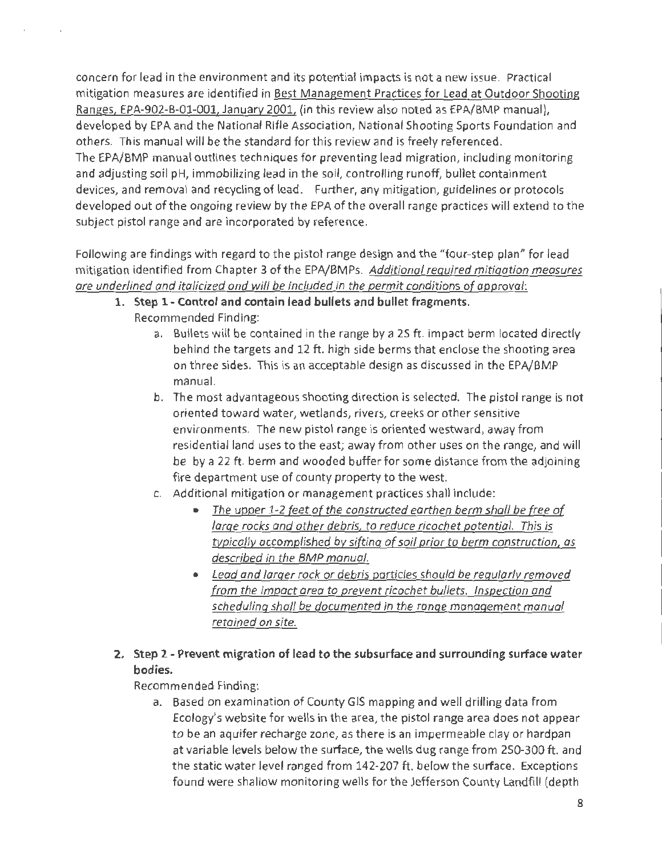concern for lead in the environment and its potential impacts is not a new issue. Practical mitigation measures are identified in Best Management Practices for lead at Outdoor Shooting Ranges, EPA-902-B-01-001, January 2001, (in this review also noted as EPA/BMP manual), developed by EPA and the National Rifle Association, National Shooting Sports Foundation and others. This manual will be the standard for this review and is freely referenced. The EPA/BMP manual outlines techniques for preventing lead migration, including monitoring and adjusting soil pH, immobilizing lead in the soil, controlling runoff, bullet containment devices, and removal and recycling of lead. Further, any mitigation, guidelines or protocols developed out of the ongoing review by the EPA of the overall range practices will extend to the subject pistol range and are incorporated by reference.

Following are findings with regard to the pistol range design and the "four-step plan" for lead mitigation identified from Chapter 3 of the EPA/BMPs. Additional required mitigation measures are underlined and italicized ond will be included in the permit conditions of approval:

- **1. Step 1- Control and contain lead bullets and bullet fragments.**  Recommended Finding:
	- a. Bullets will be contained in the range by a 25 ft. impact berm located directly behind the targets and 12 ft. high side berms that enclose the shooting area on three sides. This is an acceptable design as discussed in the EPA/BMP manual.
	- b. The most advantageous shooting direction is selected. The pistol range is not oriented toward water, wetlands, rivers, creeks or other sensitive environments. The new pistol range is oriented westward, away from residential land uses to the east; away from other uses on the range, and will be by a 22 ft. berm and wooded buffer for some distance from the adjoining fire department use of county property to the west.
	- c. Additional mitigation or management practices shall include:
		- The upper 1-2 feet of the constructed earthen berm shall be free of large rocks and other debris, to reduce ricochet potential. This is typically accomplished by sifting of soil prior to berm construction, as described in the BMP manual.
		- Lead and larger rock or debris particles should be regularly removed from the impact area to prevent ricochet bullets. Inspection and scheduling shall be documented in the range management manual retained on site.
- **2. Step 2 - Prevent migration of lead to the subsurface and surrounding surface water bodies.**

Recommended Finding:

a. Based on examination of County GIS mapping and well drilling data from Ecology's website for wells in the area, the pistol range area does not appear to be an aquifer recharge zone, as there is an impermeable clay or hardpan at variable levels below the surface, the wells dug range from 250-300 ft. and the static water level ranged from 142-207 ft. below the surface. Exceptions found were shallow monitoring wells for the Jefferson County landfill (depth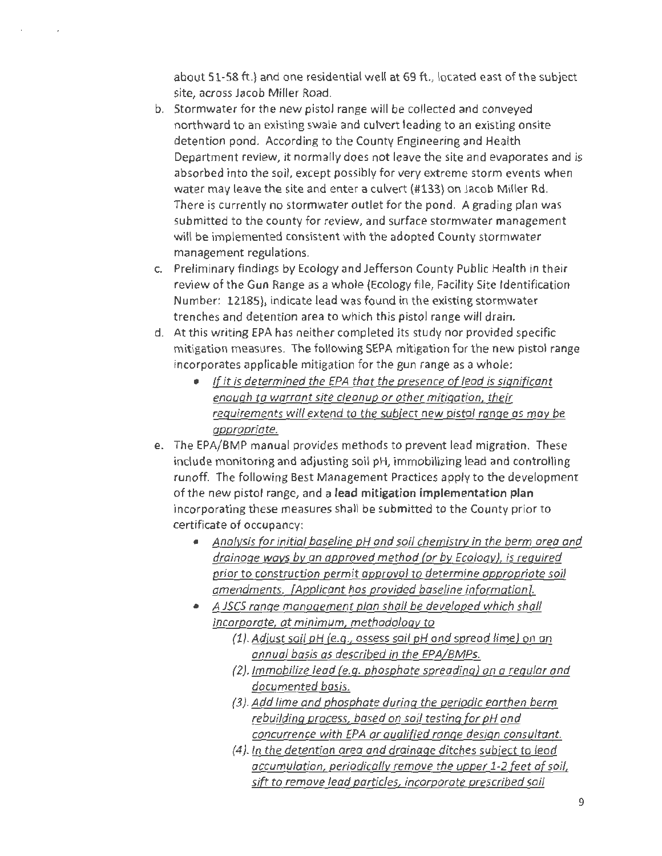about 51-58 ft.) and one residential well at 69 ft., located east of the subject site, across Jacob Miller Road.

- b. Stormwater for the new pistol range will be collected and conveyed northward to an existing swale and culvert leading to an existing onsite detention pond. According to the County Engineering and Health Department review, it normally does not leave the site and evaporates and is absorbed into the soil, except possibly for very extreme storm events when water may leave the site and enter a culvert (#133} on Jacob Miller Rd. There is currently no stormwater outlet for the pond. A grading plan was submitted to the county for review, and surface stormwater management will be implemented consistent with the adopted County stormwater management regulations.
- c. Preliminary findings by Ecology and Jefferson County Public Health in their review of the Gun Range as a whole (Ecology file, Facility Site Identification Number: 12185), indicate lead was found in the existing stormwater trenches and detention area to which this pistol range will drain.
- d. At this writing EPA has neither completed its study nor provided specific mitigation measures. The following SEPA mitigation for the new pistol range incorporates applicable mitigation for the gun range as a whole:
	- If it is determined the EPA that the presence of lead is significant enough to warrant site cleanup or other mitigation, their requirements will extend to the subject new pistol range as may be appropriate.
- e. The EPA/BMP manual provides methods to prevent lead migration. These include monitoring and adjusting soil pH, immobilizing lead and controlling runoff. The following Best Management Practices apply to the development of the new pistol range, and a **lead mitigation implementation plan**  incorporating these measures shall be submitted to the County prior to certificate of occupancy:
	- Analysis for initial baseline pH and soil chemistry in the berm area and drainage ways by an approved method (or by Ecology), is required prior to construction permit approval to determine appropriate soil amendments. [Applicant hos provided baseline information].
	- A JSCS range management plan shall be developed which shall incorporate, at minimum, methodology to
		- (1). Adjust soil pH (e.g., assess soil pH and spread lime) on an annual basis as described in the EPA/BMPs.
		- (2). Immobilize lead (e.g. phosphate spreading) on a regular and documented basis.
		- {3}. Add lime and phosphate during the periodic earthen berm rebuilding process, based on soil testing for pH and concurrence with EPA or qualified range design consultant.
		- {4}. In the detention area and drainage ditches subject to lead accumulation, periodically remove the upper 1-2 feet of soil, sift to remove lead particles, incorporate prescribed soil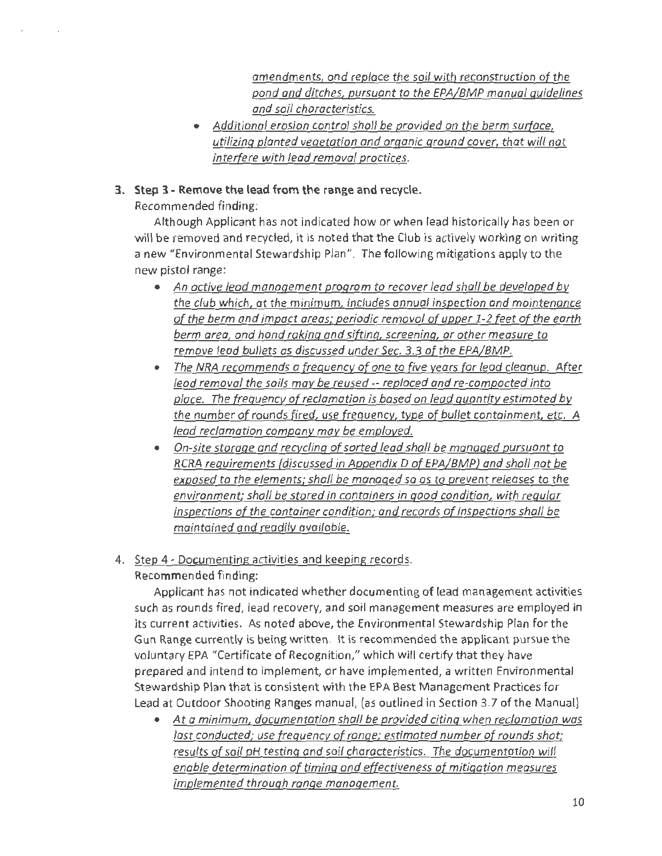amendments, and replace the soil with reconstruction of the pond and ditches, pursuant to the EPA/BMP manual guidelines and soil characteristics.

- Additional erosion control sholl be provided on the berm surface, utilizing planted vegetation and organic ground cover, that will not interfere with lead removal proctices.
- **3. Step 3 - Remove the lead from the range and recycle.**

Recommended finding:

Although Applicant has not indicated how or when lead historically has been or will be removed and recycled, it is noted that the Club is actively working on writing a new "Environmental Stewardship Plan". The following mitigations apply to the new pistol range:

- An active lead management program to recover lead shall be developed by the club which, at the minimum, includes annual inspection and maintenance of the berm and impact areas; periodic removal of upper 1-2 feet of the earth berm area, and hand raking and sifting, screening, or other measure to remove lead bullets as discussed under Sec. 3.3 of the EPA/BMP.
- The NRA recommends a frequency of one to five years for lead cleanup. After lead removal the soils may be reused -- replaced and re-compacted into place. The frequency of reclamation is based on lead quantity estimated by the number of rounds fired, use frequency, type of bullet containment, etc. A lead reclamation company may be employed.
- On-site storage and recycling of sorted lead shall be managed pursuont to RCRA requirements (discussed in Appendix D of EPA/BMP) and shall not be exposed to the elements; shall be managed so as to prevent releases to the environment; shall be stored in containers in good condition, with regular inspections of the container condition; and records of inspections shall be maintained and readily available.
- 4. Step 4 Documenting activities and keeping records. Recommended finding:

Applicant has not indicated whether documenting of lead management activities such as rounds fired, lead recovery, and soil management measures are employed in its current activities. As noted above, the Environmental Stewardship Plan for the Gun Range currently is being written. It is recommended the applicant pursue the voluntary EPA "Certificate of Recognition," which will certify that they have prepared and intend to implement, or have implemented, a written Environmental Stewardship Plan that is consistent with the EPA Best Management Practices for Lead at Outdoor Shooting Ranges manual, (as outlined in Section 3.7 of the Manual)

• At a minimum, documentation shall be provided citing when reclamation was last conducted; use frequency of ronge; estimated number of rounds shot; results of soil pH testing and soil characteristics. The documentation will enable determination of timing and effectiveness of mitigation measures implemented through range management.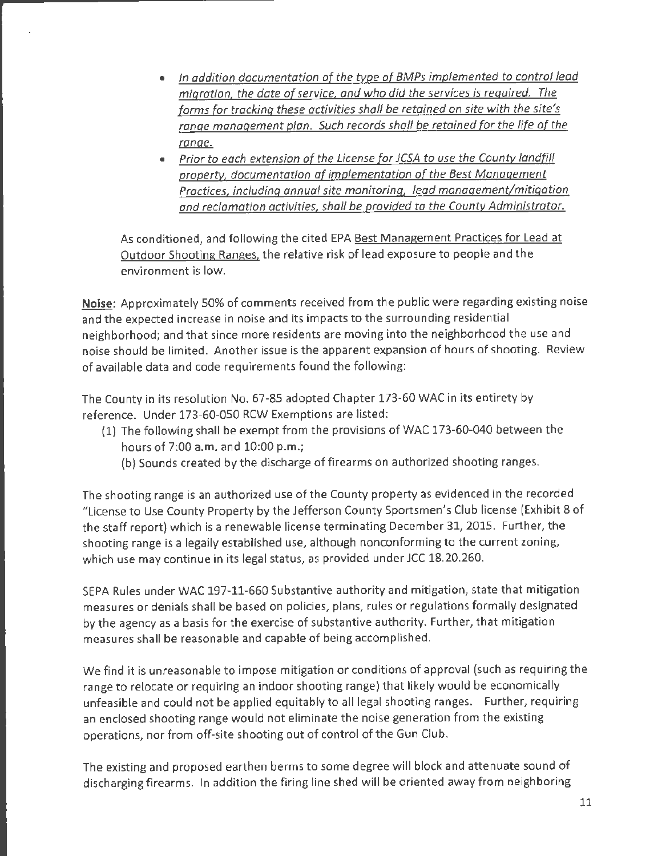- *In addition documentation of the type of BMPs implemented to control lead migration, the date of service, and who did the services is required. The forms for tracking these activities shall be retained on site with the site's*  range management plan. Such records shall be retained for the life of the *range.*
- *Prior to each extension of the License for JCSA to use the County landfill property, documentation of implementation of the Best Management Practices, including annual site monitoring, lead management/mitigation and reclamation activities, shall be provided to the County Administrator.*

As conditioned, and following the cited EPA Best Management Practices for Lead at Outdoor Shooting Ranges. the relative risk of lead exposure to people and the environment is low.

Noise: Approximately 50% of comments received from the public were regarding existing noise and the expected increase in noise and its impacts to the surrounding residential neighborhood; and that since more residents are moving into the neighborhood the use and noise should be limited. Another issue is the apparent expansion of hours of shooting. Review of available data and code requirements found the following:

The County in its resolution No. 67-85 adopted Chapter 173-60 WAC in its entirety by reference. Under 173-60-050 RCW Exemptions are listed:

- (1) The following shall be exempt from the provisions of WAC 173-60-040 between the hours of 7:00 a.m. and 10:00 p.m.;
	- (b) Sounds created by the discharge of firearms on authorized shooting ranges.

The shooting range is an authorized use of the County property as evidenced in the recorded "License to Use County Property by the Jefferson County Sportsmen's Club license (Exhibit 8 of the staff report) which is a renewable license terminating December 31, 2015. Further, the shooting range is a legally established use, although nonconforming to the current zoning, which use may continue in its legal status, as provided under JCC 18.20.260.

SEPA Rules under WAC 197-11-660 Substantive authority and mitigation, state that mitigation measures or denials shall be based on policies, plans, rules or regulations formally designated by the agency as a basis for the exercise of substantive authority. Further, that mitigation measures shall be reasonable and capable of being accomplished.

We find it is unreasonable to impose mitigation or conditions of approval (such as requiring the range to relocate or requiring an indoor shooting range) that likely would be economically unfeasible and could not be applied equitably to all legal shooting ranges. Further, requiring an enclosed shooting range would not eliminate the noise generation from the existing operations, nor from off-site shooting out of control of the Gun Club.

The existing and proposed earthen berms to some degree will block and attenuate sound of discharging firearms. In addition the firing line shed will be oriented away from neighboring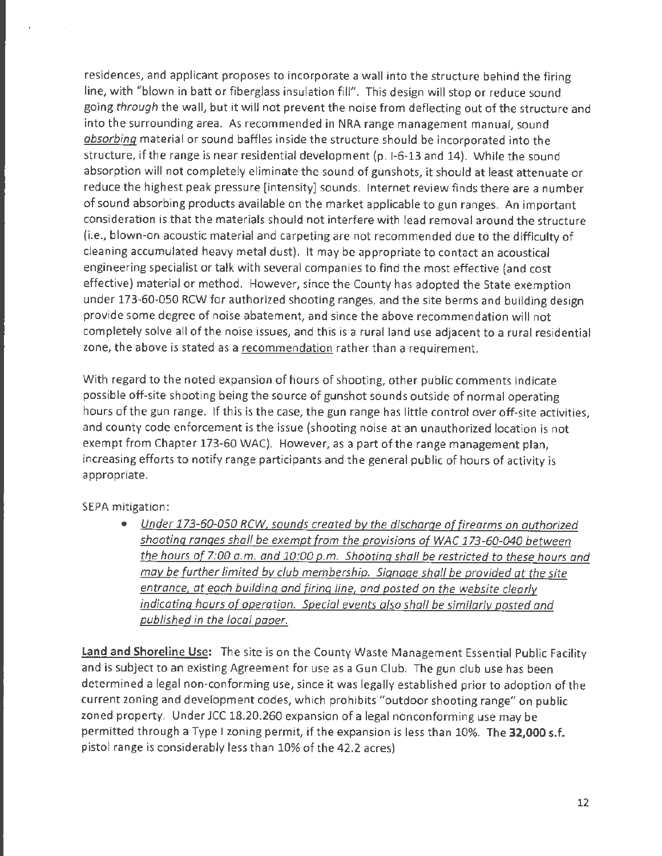residences, and applicant proposes to incorporate a wall into the structure behind the firing line, with "blown in batt or fiberglass insulation fill". This design will stop or reduce sound going through the wall, but it will not prevent the noise from deflecting out of the structure and into the surrounding area. As recommended in NRA range management manual, sound absorbing material or sound baffles inside the structure should be incorporated into the structure, if the range is near residential development (p. 1-6-13 and 14). While the sound absorption will not completely eliminate the sound of gunshots, it should at least attenuate or reduce the highest peak pressure [intensity] sounds. Internet review finds there are a number of sound absorbing products available on the market applicable to gun ranges. An important consideration is that the materials should not interfere with lead removal around the structure (i.e., blown-on acoustic material and carpeting are not recommended due to the difficulty of cleaning accumulated heavy metal dust). It may be appropriate to contact an acoustical engineering specialist or talk with several companies to find the most effective (and cost effective) material or method. However, since the County has adopted the State exemption under 173-60-050 RCW for authorized shooting ranges, and the site berms and building design provide some degree of noise abatement, and since the above recommendation will not completely solve all of the noise issues, and this is a rural land use adjacent to a rural residential zone, the above is stated as a recommendation rather than a requirement.

With regard to the noted expansion of hours of shooting, other public comments indicate possible off-site shooting being the source of gunshot sounds outside of normal operating hours of the gun range. If this is the case, the gun range has little control over off-site activities, and county code enforcement is the issue (shooting noise at an unauthorized location is not exempt from Chapter 173-60 WAC). However, as a part of the range management plan, increasing efforts to notify range participants and the general public of hours of activity is appropriate.

SEPA mitigation:

• Under 173-60-050 RCW, sounds created by the discharge of firearms on authorized shooting ranges shall be exempt from the provisions of WAC 173-60-040 between the hours of 7:00 a.m. and 10:00 p.m. Shooting shall be restricted to these hours and may be further limited by club membership. Signage shall be provided at the site entrance, at each building and firing line, and posted on the website clearly indicating hours of operation. Special events also shall be similarly posted and published in the local paper.

**Land and Shoreline Use:** The site is on the County Waste Management Essential Public Facility and is subject to an existing Agreement for use as a Gun Club. The gun club use has been determined a legal non-conforming use, since it was legally established prior to adoption of the current zoning and development codes, which prohibits "outdoor shooting range" on public zoned property. Under JCC 18.20.260 expansion of a legal nonconforming use may be permitted through a Type I zoning permit, if the expansion is less than 10%. The **32,000 s.f.**  pistol range is considerably less than 10% of the 42.2 acres)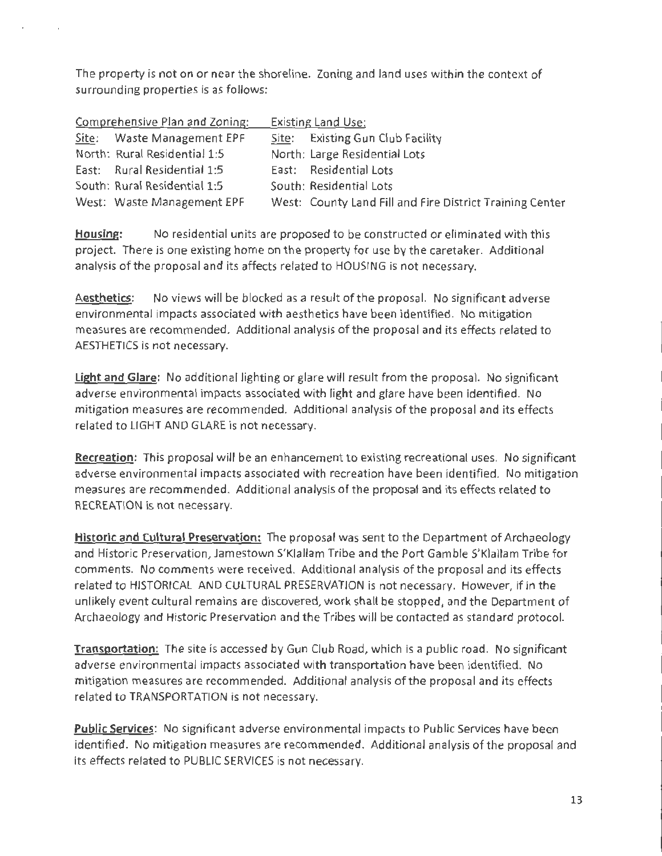The property is not on or near the shoreline. Zoning and land uses within the context of surrounding properties is as follows:

| Comprehensive Plan and Zoning: |                              | <b>Existing Land Use:</b> |                                                          |  |
|--------------------------------|------------------------------|---------------------------|----------------------------------------------------------|--|
|                                | Site: Waste Management EPF   |                           | Site: Existing Gun Club Facility                         |  |
|                                | North: Rural Residential 1:5 |                           | North: Large Residential Lots                            |  |
|                                | East: Rural Residential 1:5  |                           | East: Residential Lots                                   |  |
|                                | South: Rural Residential 1:5 |                           | South: Residential Lots                                  |  |
|                                | West: Waste Management EPF   |                           | West: County Land Fill and Fire District Training Center |  |

**Housing:** No residential units are proposed to be constructed or eliminated with this project. There is one existing home on the property for use by the caretaker. Additional analysis of the proposal and its affects related to HOUSING is not necessary.

**Aesthetics:** No views will be blocked as a result of the proposal. No significant adverse environmental impacts associated with aesthetics have been identified. No mitigation measures are recommended. Additional analysis of the proposal and its effects related to AESTHETICS is not necessary.

**Light and Glare:** No additional lighting or glare will result from the proposal. No significant adverse environmental impacts associated with light and glare have been identified. No mitigation measures are recommended. Additional analysis of the proposal and its effects related to LIGHT AND GLARE is not necessary.

**Recreation:** This proposal will be an enhancement to existing recreational uses. No significant adverse environmental impacts associated with recreation have been identified. No mitigation measures are recommended. Additional analysis of the proposal and its effects related to RECREATION is not necessary.

**Historic and Cultural Preservation:** The proposal was sent to the Department of Archaeology and Historic Preservation, Jamestown S'Klallam Tribe and the Port Gamble S'Klallam Tribe for comments. No comments were received. Additional analysis of the proposal and its effects related to HISTORICAL AND CULTURAL PRESERVATION is not necessary. However, if in the unlikely event cultural remains are discovered, work shall be stopped, and the Department of Archaeology and Historic Preservation and the Tribes will be contacted as standard protocol.

**Transportation:** The site is accessed by Gun Club Road, which is a public road. No significant adverse environmental impacts associated with transportation have been identified. No mitigation measures are recommended. Additional analysis of the proposal and its effects related to TRANSPORTATION is not necessary.

**Public Services:** No significant adverse environmental impacts to Public Services have been identified. No mitigation measures are recommended. Additional analysis of the proposal and its effects related to PUBLIC SERVICES is not necessary.